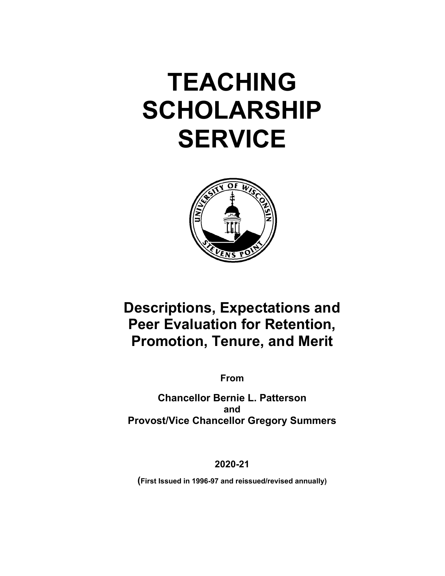# **TEACHING SCHOLARSHIP SERVICE**



# **Descriptions, Expectations and Peer Evaluation for Retention, Promotion, Tenure, and Merit**

**From**

**Chancellor Bernie L. Patterson and Provost/Vice Chancellor Gregory Summers**

**2020-21**

**(First Issued in 1996-97 and reissued/revised annually)**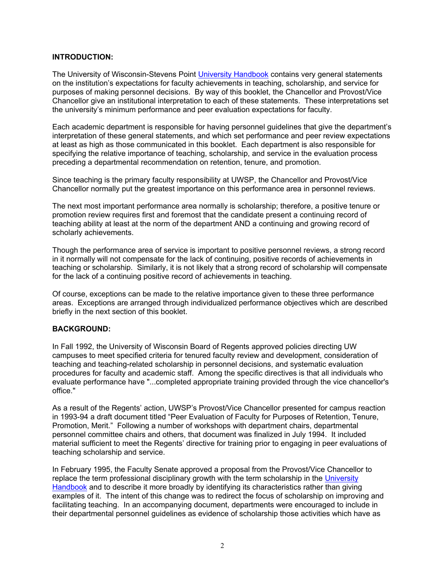#### **INTRODUCTION:**

The University of Wisconsin-Stevens Point [University Handbook](https://catalog.uwsp.edu/index.php?catoid=27) contains very general statements on the institution's expectations for faculty achievements in teaching, scholarship, and service for purposes of making personnel decisions. By way of this booklet, the Chancellor and Provost/Vice Chancellor give an institutional interpretation to each of these statements. These interpretations set the university's minimum performance and peer evaluation expectations for faculty.

Each academic department is responsible for having personnel guidelines that give the department's interpretation of these general statements, and which set performance and peer review expectations at least as high as those communicated in this booklet. Each department is also responsible for specifying the relative importance of teaching, scholarship, and service in the evaluation process preceding a departmental recommendation on retention, tenure, and promotion.

Since teaching is the primary faculty responsibility at UWSP, the Chancellor and Provost/Vice Chancellor normally put the greatest importance on this performance area in personnel reviews.

The next most important performance area normally is scholarship; therefore, a positive tenure or promotion review requires first and foremost that the candidate present a continuing record of teaching ability at least at the norm of the department AND a continuing and growing record of scholarly achievements.

Though the performance area of service is important to positive personnel reviews, a strong record in it normally will not compensate for the lack of continuing, positive records of achievements in teaching or scholarship. Similarly, it is not likely that a strong record of scholarship will compensate for the lack of a continuing positive record of achievements in teaching.

Of course, exceptions can be made to the relative importance given to these three performance areas. Exceptions are arranged through individualized performance objectives which are described briefly in the next section of this booklet.

#### **BACKGROUND:**

In Fall 1992, the University of Wisconsin Board of Regents approved policies directing UW campuses to meet specified criteria for tenured faculty review and development, consideration of teaching and teaching-related scholarship in personnel decisions, and systematic evaluation procedures for faculty and academic staff. Among the specific directives is that all individuals who evaluate performance have "...completed appropriate training provided through the vice chancellor's office."

As a result of the Regents' action, UWSP's Provost/Vice Chancellor presented for campus reaction in 1993-94 a draft document titled "Peer Evaluation of Faculty for Purposes of Retention, Tenure, Promotion, Merit." Following a number of workshops with department chairs, departmental personnel committee chairs and others, that document was finalized in July 1994. It included material sufficient to meet the Regents' directive for training prior to engaging in peer evaluations of teaching scholarship and service.

In February 1995, the Faculty Senate approved a proposal from the Provost/Vice Chancellor to replace the term professional disciplinary growth with the term scholarship in the University [Handbook](https://catalog.uwsp.edu/index.php?catoid=27) and to describe it more broadly by identifying its characteristics rather than giving examples of it. The intent of this change was to redirect the focus of scholarship on improving and facilitating teaching. In an accompanying document, departments were encouraged to include in their departmental personnel guidelines as evidence of scholarship those activities which have as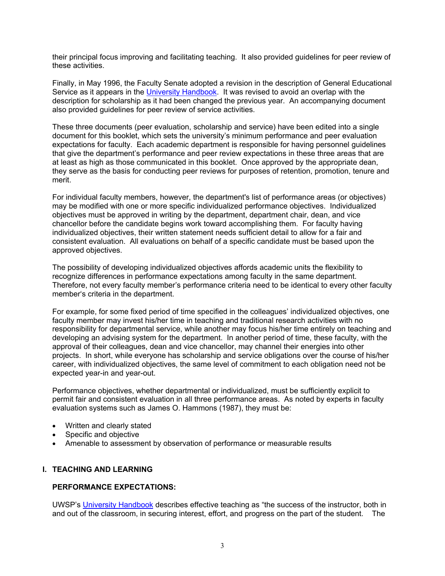their principal focus improving and facilitating teaching. It also provided guidelines for peer review of these activities.

Finally, in May 1996, the Faculty Senate adopted a revision in the description of General Educational Service as it appears in the [University Handbook.](https://catalog.uwsp.edu/index.php?catoid=27) It was revised to avoid an overlap with the description for scholarship as it had been changed the previous year. An accompanying document also provided guidelines for peer review of service activities.

These three documents (peer evaluation, scholarship and service) have been edited into a single document for this booklet, which sets the university's minimum performance and peer evaluation expectations for faculty. Each academic department is responsible for having personnel guidelines that give the department's performance and peer review expectations in these three areas that are at least as high as those communicated in this booklet. Once approved by the appropriate dean, they serve as the basis for conducting peer reviews for purposes of retention, promotion, tenure and merit.

For individual faculty members, however, the department's list of performance areas (or objectives) may be modified with one or more specific individualized performance objectives. Individualized objectives must be approved in writing by the department, department chair, dean, and vice chancellor before the candidate begins work toward accomplishing them. For faculty having individualized objectives, their written statement needs sufficient detail to allow for a fair and consistent evaluation. All evaluations on behalf of a specific candidate must be based upon the approved objectives.

The possibility of developing individualized objectives affords academic units the flexibility to recognize differences in performance expectations among faculty in the same department. Therefore, not every faculty member's performance criteria need to be identical to every other faculty member's criteria in the department.

For example, for some fixed period of time specified in the colleagues' individualized objectives, one faculty member may invest his/her time in teaching and traditional research activities with no responsibility for departmental service, while another may focus his/her time entirely on teaching and developing an advising system for the department. In another period of time, these faculty, with the approval of their colleagues, dean and vice chancellor, may channel their energies into other projects. In short, while everyone has scholarship and service obligations over the course of his/her career, with individualized objectives, the same level of commitment to each obligation need not be expected year-in and year-out.

Performance objectives, whether departmental or individualized, must be sufficiently explicit to permit fair and consistent evaluation in all three performance areas. As noted by experts in faculty evaluation systems such as James O. Hammons (1987), they must be:

- Written and clearly stated
- Specific and objective
- Amenable to assessment by observation of performance or measurable results

#### **I. TEACHING AND LEARNING**

#### **PERFORMANCE EXPECTATIONS:**

UWSP's [University Handbook](https://catalog.uwsp.edu/index.php?catoid=27) describes effective teaching as "the success of the instructor, both in and out of the classroom, in securing interest, effort, and progress on the part of the student. The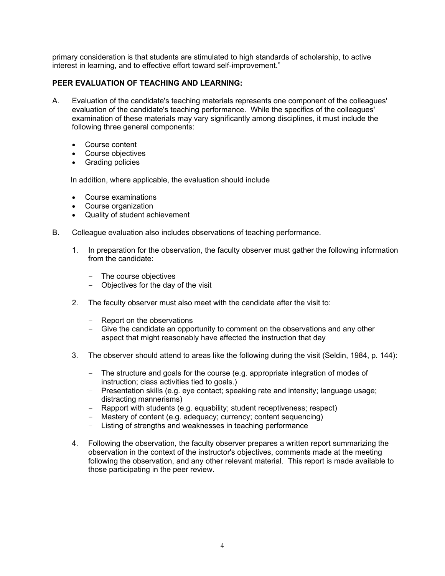primary consideration is that students are stimulated to high standards of scholarship, to active interest in learning, and to effective effort toward self-improvement."

#### **PEER EVALUATION OF TEACHING AND LEARNING:**

- A. Evaluation of the candidate's teaching materials represents one component of the colleagues' evaluation of the candidate's teaching performance. While the specifics of the colleagues' examination of these materials may vary significantly among disciplines, it must include the following three general components:
	- Course content
	- Course objectives
	- Grading policies

In addition, where applicable, the evaluation should include

- Course examinations
- Course organization
- Quality of student achievement
- B. Colleague evaluation also includes observations of teaching performance.
	- 1. In preparation for the observation, the faculty observer must gather the following information from the candidate:
		- The course objectives
		- − Objectives for the day of the visit
	- 2. The faculty observer must also meet with the candidate after the visit to:
		- − Report on the observations
		- Give the candidate an opportunity to comment on the observations and any other aspect that might reasonably have affected the instruction that day
	- 3. The observer should attend to areas like the following during the visit (Seldin, 1984, p. 144):
		- − The structure and goals for the course (e.g. appropriate integration of modes of instruction; class activities tied to goals.)
		- − Presentation skills (e.g. eye contact; speaking rate and intensity; language usage; distracting mannerisms)
		- − Rapport with students (e.g. equability; student receptiveness; respect)
		- − Mastery of content (e.g. adequacy; currency; content sequencing)
		- Listing of strengths and weaknesses in teaching performance
	- 4. Following the observation, the faculty observer prepares a written report summarizing the observation in the context of the instructor's objectives, comments made at the meeting following the observation, and any other relevant material. This report is made available to those participating in the peer review.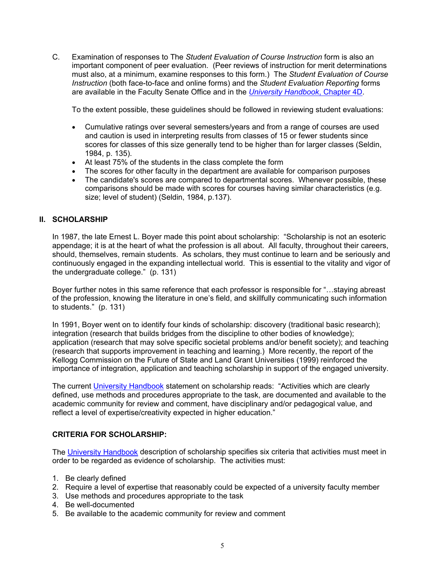C. Examination of responses to The *Student Evaluation of Course Instruction* form is also an important component of peer evaluation. (Peer reviews of instruction for merit determinations must also, at a minimum, examine responses to this form.) The *Student Evaluation of Course Instruction* (both face-to-face and online forms) and the *Student Evaluation Reporting* forms are available in the Faculty Senate Office and in the *[University Handbook](https://catalog.uwsp.edu/content.php?catoid=27&navoid=1405)*, Chapter 4D.

To the extent possible, these guidelines should be followed in reviewing student evaluations:

- Cumulative ratings over several semesters/years and from a range of courses are used and caution is used in interpreting results from classes of 15 or fewer students since scores for classes of this size generally tend to be higher than for larger classes (Seldin, 1984, p. 135).
- At least 75% of the students in the class complete the form
- The scores for other faculty in the department are available for comparison purposes
- The candidate's scores are compared to departmental scores. Whenever possible, these comparisons should be made with scores for courses having similar characteristics (e.g. size; level of student) (Seldin, 1984, p.137).

#### **II. SCHOLARSHIP**

In 1987, the late Ernest L. Boyer made this point about scholarship: "Scholarship is not an esoteric appendage; it is at the heart of what the profession is all about. All faculty, throughout their careers, should, themselves, remain students. As scholars, they must continue to learn and be seriously and continuously engaged in the expanding intellectual world. This is essential to the vitality and vigor of the undergraduate college." (p. 131)

Boyer further notes in this same reference that each professor is responsible for "…staying abreast of the profession, knowing the literature in one's field, and skillfully communicating such information to students." (p. 131)

In 1991, Boyer went on to identify four kinds of scholarship: discovery (traditional basic research); integration (research that builds bridges from the discipline to other bodies of knowledge); application (research that may solve specific societal problems and/or benefit society); and teaching (research that supports improvement in teaching and learning.) More recently, the report of the Kellogg Commission on the Future of State and Land Grant Universities (1999) reinforced the importance of integration, application and teaching scholarship in support of the engaged university.

The current [University Handbook](https://catalog.uwsp.edu/index.php?catoid=27) statement on scholarship reads: "Activities which are clearly defined, use methods and procedures appropriate to the task, are documented and available to the academic community for review and comment, have disciplinary and/or pedagogical value, and reflect a level of expertise/creativity expected in higher education."

#### **CRITERIA FOR SCHOLARSHIP:**

The [University Handbook](https://catalog.uwsp.edu/index.php?catoid=27) description of scholarship specifies six criteria that activities must meet in order to be regarded as evidence of scholarship. The activities must:

- 1. Be clearly defined
- 2. Require a level of expertise that reasonably could be expected of a university faculty member
- 3. Use methods and procedures appropriate to the task
- 4. Be well-documented
- 5. Be available to the academic community for review and comment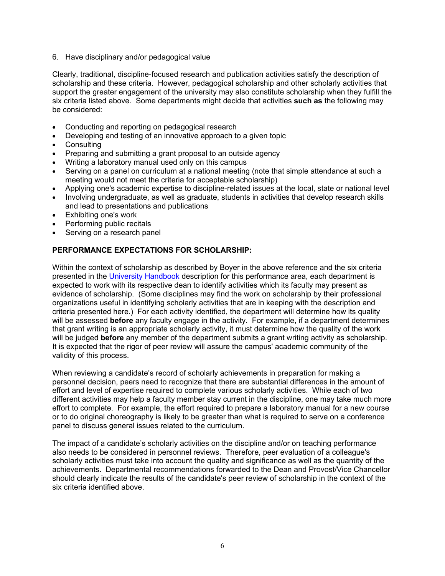6. Have disciplinary and/or pedagogical value

Clearly, traditional, discipline-focused research and publication activities satisfy the description of scholarship and these criteria. However, pedagogical scholarship and other scholarly activities that support the greater engagement of the university may also constitute scholarship when they fulfill the six criteria listed above. Some departments might decide that activities **such as** the following may be considered:

- Conducting and reporting on pedagogical research
- Developing and testing of an innovative approach to a given topic
- **Consulting**
- Preparing and submitting a grant proposal to an outside agency
- Writing a laboratory manual used only on this campus
- Serving on a panel on curriculum at a national meeting (note that simple attendance at such a meeting would not meet the criteria for acceptable scholarship)
- Applying one's academic expertise to discipline-related issues at the local, state or national level • Involving undergraduate, as well as graduate, students in activities that develop research skills
- and lead to presentations and publications
- Exhibiting one's work
- Performing public recitals
- Serving on a research panel

## **PERFORMANCE EXPECTATIONS FOR SCHOLARSHIP:**

Within the context of scholarship as described by Boyer in the above reference and the six criteria presented in the [University Handbook](https://catalog.uwsp.edu/index.php?catoid=27) description for this performance area, each department is expected to work with its respective dean to identify activities which its faculty may present as evidence of scholarship. (Some disciplines may find the work on scholarship by their professional organizations useful in identifying scholarly activities that are in keeping with the description and criteria presented here.) For each activity identified, the department will determine how its quality will be assessed **before** any faculty engage in the activity. For example, if a department determines that grant writing is an appropriate scholarly activity, it must determine how the quality of the work will be judged **before** any member of the department submits a grant writing activity as scholarship. It is expected that the rigor of peer review will assure the campus' academic community of the validity of this process.

When reviewing a candidate's record of scholarly achievements in preparation for making a personnel decision, peers need to recognize that there are substantial differences in the amount of effort and level of expertise required to complete various scholarly activities. While each of two different activities may help a faculty member stay current in the discipline, one may take much more effort to complete. For example, the effort required to prepare a laboratory manual for a new course or to do original choreography is likely to be greater than what is required to serve on a conference panel to discuss general issues related to the curriculum.

The impact of a candidate's scholarly activities on the discipline and/or on teaching performance also needs to be considered in personnel reviews. Therefore, peer evaluation of a colleague's scholarly activities must take into account the quality and significance as well as the quantity of the achievements. Departmental recommendations forwarded to the Dean and Provost/Vice Chancellor should clearly indicate the results of the candidate's peer review of scholarship in the context of the six criteria identified above.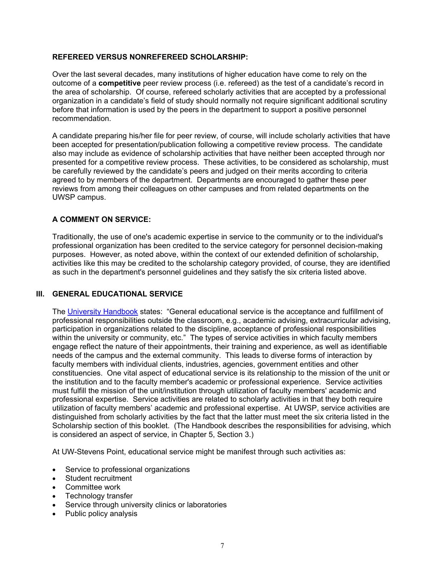#### **REFEREED VERSUS NONREFEREED SCHOLARSHIP:**

Over the last several decades, many institutions of higher education have come to rely on the outcome of a **competitive** peer review process (i.e. refereed) as the test of a candidate's record in the area of scholarship. Of course, refereed scholarly activities that are accepted by a professional organization in a candidate's field of study should normally not require significant additional scrutiny before that information is used by the peers in the department to support a positive personnel recommendation.

A candidate preparing his/her file for peer review, of course, will include scholarly activities that have been accepted for presentation/publication following a competitive review process. The candidate also may include as evidence of scholarship activities that have neither been accepted through nor presented for a competitive review process. These activities, to be considered as scholarship, must be carefully reviewed by the candidate's peers and judged on their merits according to criteria agreed to by members of the department. Departments are encouraged to gather these peer reviews from among their colleagues on other campuses and from related departments on the UWSP campus.

#### **A COMMENT ON SERVICE:**

Traditionally, the use of one's academic expertise in service to the community or to the individual's professional organization has been credited to the service category for personnel decision-making purposes. However, as noted above, within the context of our extended definition of scholarship, activities like this may be credited to the scholarship category provided, of course, they are identified as such in the department's personnel guidelines and they satisfy the six criteria listed above.

#### **III. GENERAL EDUCATIONAL SERVICE**

The [University Handbook](https://catalog.uwsp.edu/index.php?catoid=27) states: "General educational service is the acceptance and fulfillment of professional responsibilities outside the classroom, e.g., academic advising, extracurricular advising, participation in organizations related to the discipline, acceptance of professional responsibilities within the university or community, etc." The types of service activities in which faculty members engage reflect the nature of their appointments, their training and experience, as well as identifiable needs of the campus and the external community. This leads to diverse forms of interaction by faculty members with individual clients, industries, agencies, government entities and other constituencies. One vital aspect of educational service is its relationship to the mission of the unit or the institution and to the faculty member's academic or professional experience. Service activities must fulfill the mission of the unit/institution through utilization of faculty members' academic and professional expertise. Service activities are related to scholarly activities in that they both require utilization of faculty members' academic and professional expertise. At UWSP, service activities are distinguished from scholarly activities by the fact that the latter must meet the six criteria listed in the Scholarship section of this booklet. (The Handbook describes the responsibilities for advising, which is considered an aspect of service, in Chapter 5, Section 3.)

At UW-Stevens Point, educational service might be manifest through such activities as:

- Service to professional organizations
- Student recruitment
- Committee work
- Technology transfer
- Service through university clinics or laboratories
- Public policy analysis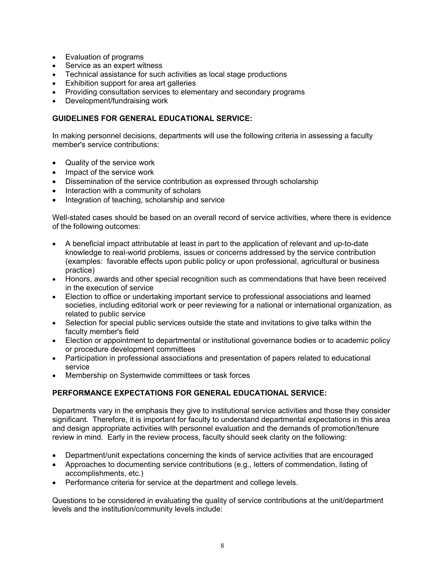- Evaluation of programs
- Service as an expert witness
- Technical assistance for such activities as local stage productions
- Exhibition support for area art galleries
- Providing consultation services to elementary and secondary programs
- Development/fundraising work

#### **GUIDELINES FOR GENERAL EDUCATIONAL SERVICE:**

In making personnel decisions, departments will use the following criteria in assessing a faculty member's service contributions:

- Quality of the service work
- Impact of the service work
- Dissemination of the service contribution as expressed through scholarship
- Interaction with a community of scholars
- Integration of teaching, scholarship and service

Well-stated cases should be based on an overall record of service activities, where there is evidence of the following outcomes:

- A beneficial impact attributable at least in part to the application of relevant and up-to-date knowledge to real-world problems, issues or concerns addressed by the service contribution (examples: favorable effects upon public policy or upon professional, agricultural or business practice)
- Honors, awards and other special recognition such as commendations that have been received in the execution of service
- Election to office or undertaking important service to professional associations and learned societies, including editorial work or peer reviewing for a national or international organization, as related to public service
- Selection for special public services outside the state and invitations to give talks within the faculty member's field
- Election or appointment to departmental or institutional governance bodies or to academic policy or procedure development committees
- Participation in professional associations and presentation of papers related to educational service
- Membership on Systemwide committees or task forces

### **PERFORMANCE EXPECTATIONS FOR GENERAL EDUCATIONAL SERVICE:**

Departments vary in the emphasis they give to institutional service activities and those they consider significant. Therefore, it is important for faculty to understand departmental expectations in this area and design appropriate activities with personnel evaluation and the demands of promotion/tenure review in mind. Early in the review process, faculty should seek clarity on the following:

- Department/unit expectations concerning the kinds of service activities that are encouraged
- Approaches to documenting service contributions (e.g., letters of commendation, listing of accomplishments, etc.)
- Performance criteria for service at the department and college levels.

Questions to be considered in evaluating the quality of service contributions at the unit/department levels and the institution/community levels include: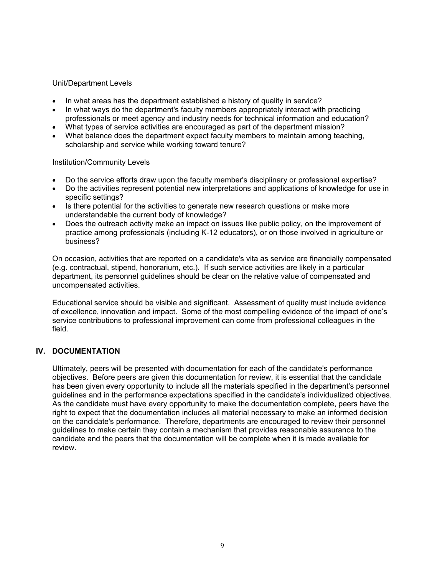#### Unit/Department Levels

- In what areas has the department established a history of quality in service?
- In what ways do the department's faculty members appropriately interact with practicing professionals or meet agency and industry needs for technical information and education?
- What types of service activities are encouraged as part of the department mission?
- What balance does the department expect faculty members to maintain among teaching, scholarship and service while working toward tenure?

#### Institution/Community Levels

- Do the service efforts draw upon the faculty member's disciplinary or professional expertise?
- Do the activities represent potential new interpretations and applications of knowledge for use in specific settings?
- Is there potential for the activities to generate new research questions or make more understandable the current body of knowledge?
- Does the outreach activity make an impact on issues like public policy, on the improvement of practice among professionals (including K-12 educators), or on those involved in agriculture or business?

On occasion, activities that are reported on a candidate's vita as service are financially compensated (e.g. contractual, stipend, honorarium, etc.). If such service activities are likely in a particular department, its personnel guidelines should be clear on the relative value of compensated and uncompensated activities.

Educational service should be visible and significant. Assessment of quality must include evidence of excellence, innovation and impact. Some of the most compelling evidence of the impact of one's service contributions to professional improvement can come from professional colleagues in the field.

#### **IV. DOCUMENTATION**

Ultimately, peers will be presented with documentation for each of the candidate's performance objectives. Before peers are given this documentation for review, it is essential that the candidate has been given every opportunity to include all the materials specified in the department's personnel guidelines and in the performance expectations specified in the candidate's individualized objectives. As the candidate must have every opportunity to make the documentation complete, peers have the right to expect that the documentation includes all material necessary to make an informed decision on the candidate's performance. Therefore, departments are encouraged to review their personnel guidelines to make certain they contain a mechanism that provides reasonable assurance to the candidate and the peers that the documentation will be complete when it is made available for review.